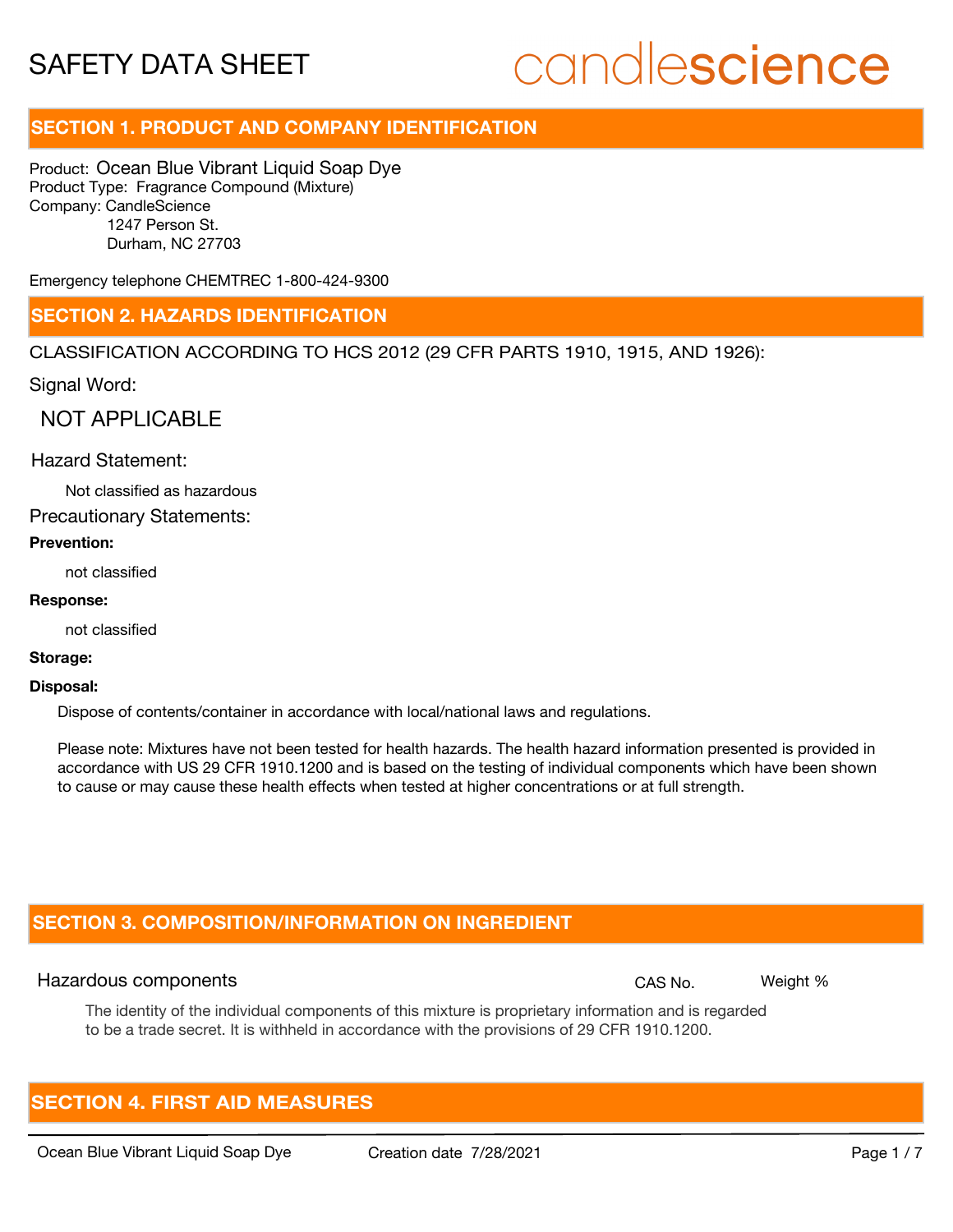## candlescience

#### **SECTION 1. PRODUCT AND COMPANY IDENTIFICATION**

Product: Ocean Blue Vibrant Liquid Soap Dye Product Type: Fragrance Compound (Mixture) Company: CandleScience 1247 Person St. Durham, NC 27703

Emergency telephone CHEMTREC 1-800-424-9300

#### **SECTION 2. HAZARDS IDENTIFICATION**

CLASSIFICATION ACCORDING TO HCS 2012 (29 CFR PARTS 1910, 1915, AND 1926):

Signal Word:

NOT APPLICABLE

#### Hazard Statement:

Not classified as hazardous

Precautionary Statements:

#### **Prevention:**

not classified

#### **Response:**

not classified

#### **Storage:**

#### **Disposal:**

Dispose of contents/container in accordance with local/national laws and regulations.

Please note: Mixtures have not been tested for health hazards. The health hazard information presented is provided in accordance with US 29 CFR 1910.1200 and is based on the testing of individual components which have been shown to cause or may cause these health effects when tested at higher concentrations or at full strength.

#### **SECTION 3. COMPOSITION/INFORMATION ON INGREDIENT**

#### Hazardous components **CAS No. Weight %** and CAS No. Weight %

The identity of the individual components of this mixture is proprietary information and is regarded to be a trade secret. It is withheld in accordance with the provisions of 29 CFR 1910.1200.

#### **SECTION 4. FIRST AID MEASURES**

Ocean Blue Vibrant Liquid Soap Dye Creation date 7/28/2021 Page 1 / 7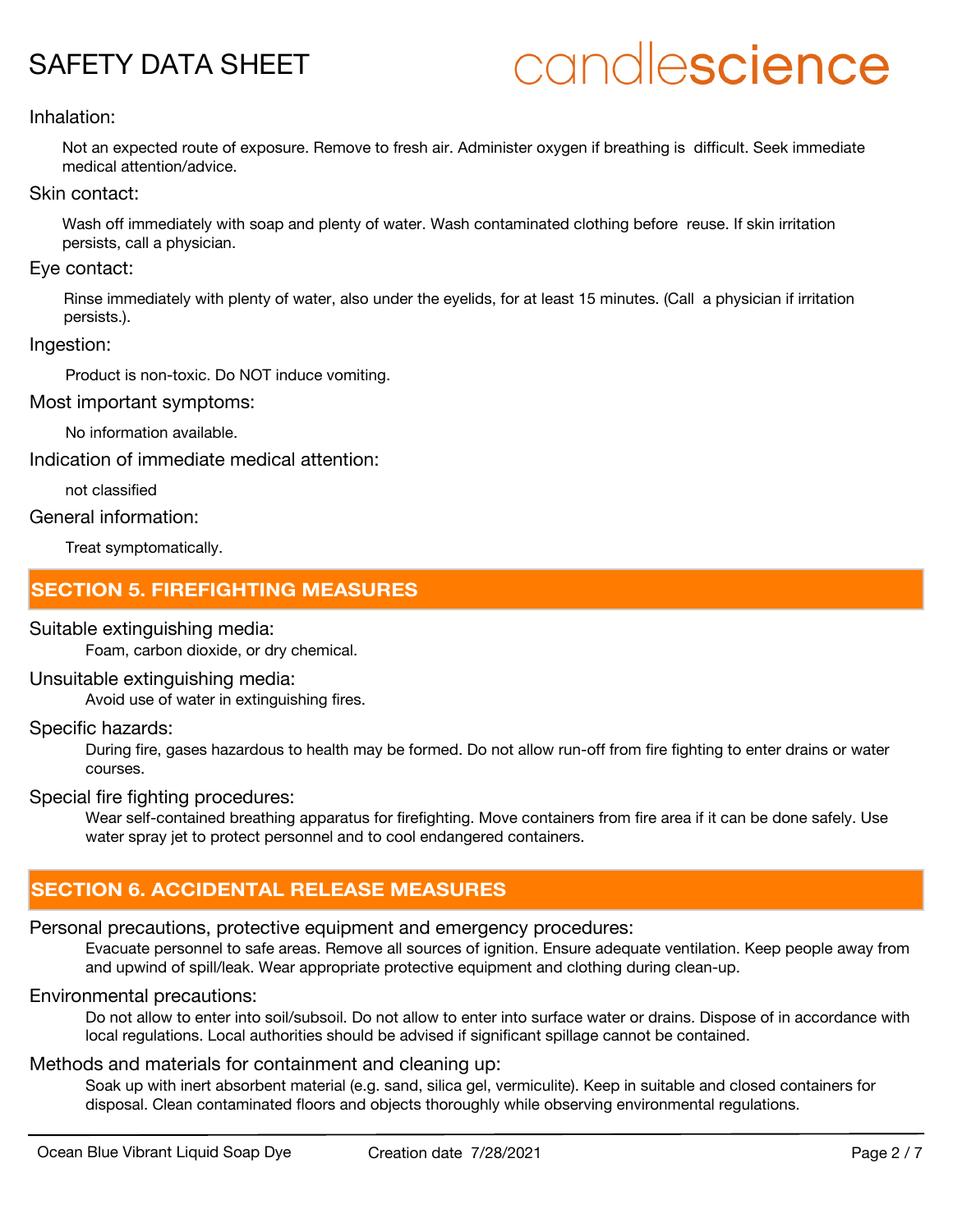## candlescience

#### Inhalation:

Not an expected route of exposure. Remove to fresh air. Administer oxygen if breathing is difficult. Seek immediate medical attention/advice.

#### Skin contact:

Wash off immediately with soap and plenty of water. Wash contaminated clothing before reuse. If skin irritation persists, call a physician.

#### Eye contact:

Rinse immediately with plenty of water, also under the eyelids, for at least 15 minutes. (Call a physician if irritation persists.).

#### Ingestion:

Product is non-toxic. Do NOT induce vomiting.

#### Most important symptoms:

No information available.

Indication of immediate medical attention:

not classified

#### General information:

Treat symptomatically.

#### **SECTION 5. FIREFIGHTING MEASURES**

#### Suitable extinguishing media:

Foam, carbon dioxide, or dry chemical.

#### Unsuitable extinguishing media:

Avoid use of water in extinguishing fires.

#### Specific hazards:

During fire, gases hazardous to health may be formed. Do not allow run-off from fire fighting to enter drains or water courses.

#### Special fire fighting procedures:

Wear self-contained breathing apparatus for firefighting. Move containers from fire area if it can be done safely. Use water spray jet to protect personnel and to cool endangered containers.

#### **SECTION 6. ACCIDENTAL RELEASE MEASURES**

#### Personal precautions, protective equipment and emergency procedures:

Evacuate personnel to safe areas. Remove all sources of ignition. Ensure adequate ventilation. Keep people away from and upwind of spill/leak. Wear appropriate protective equipment and clothing during clean-up.

#### Environmental precautions:

Do not allow to enter into soil/subsoil. Do not allow to enter into surface water or drains. Dispose of in accordance with local regulations. Local authorities should be advised if significant spillage cannot be contained.

#### Methods and materials for containment and cleaning up:

Soak up with inert absorbent material (e.g. sand, silica gel, vermiculite). Keep in suitable and closed containers for disposal. Clean contaminated floors and objects thoroughly while observing environmental regulations.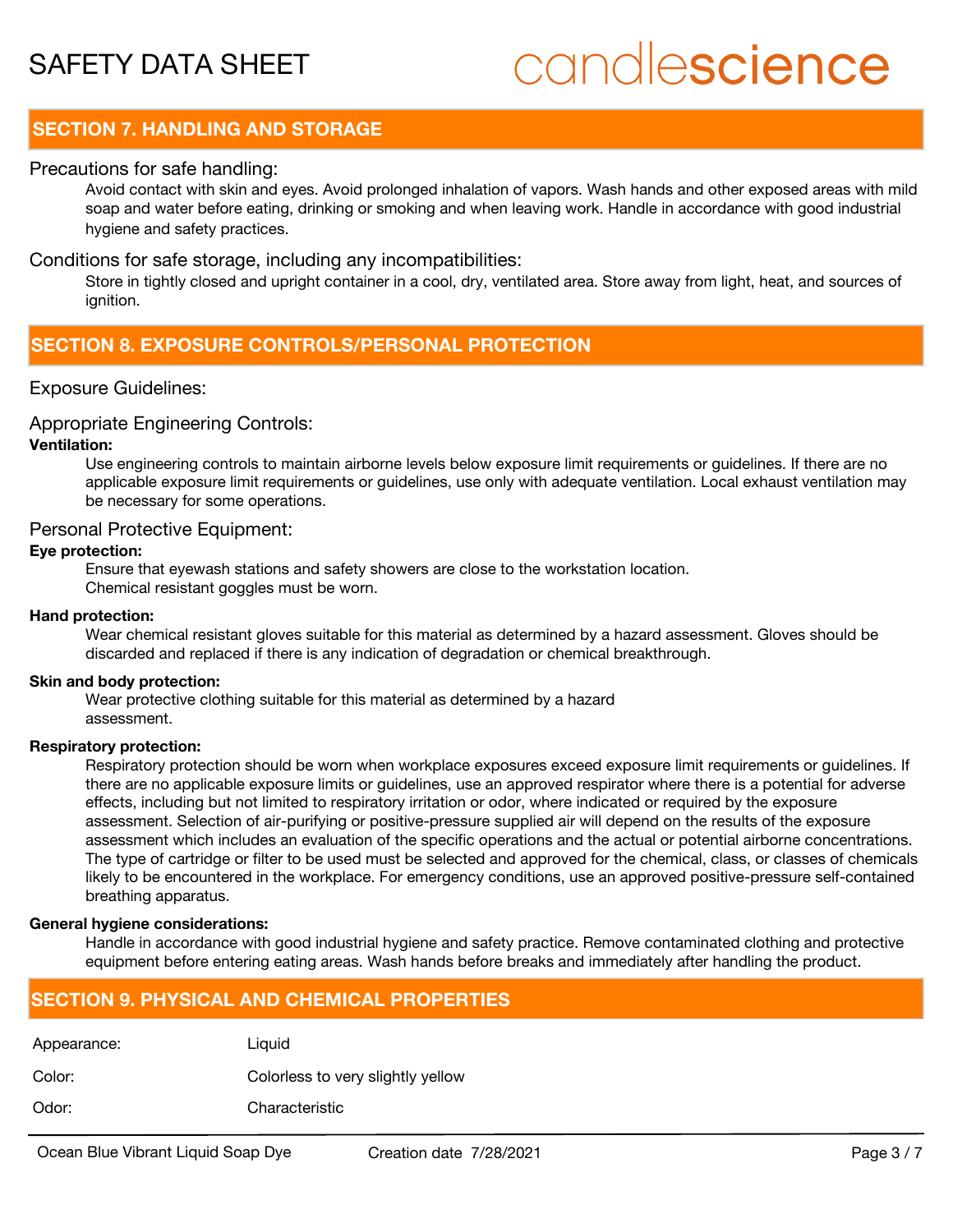## candlescience

#### **SECTION 7. HANDLING AND STORAGE**

#### Precautions for safe handling:

Avoid contact with skin and eyes. Avoid prolonged inhalation of vapors. Wash hands and other exposed areas with mild soap and water before eating, drinking or smoking and when leaving work. Handle in accordance with good industrial hygiene and safety practices.

#### Conditions for safe storage, including any incompatibilities:

Store in tightly closed and upright container in a cool, dry, ventilated area. Store away from light, heat, and sources of ianition.

#### **SECTION 8. EXPOSURE CONTROLS/PERSONAL PROTECTION**

#### Exposure Guidelines:

#### Appropriate Engineering Controls:

#### **Ventilation:**

Use engineering controls to maintain airborne levels below exposure limit requirements or guidelines. If there are no applicable exposure limit requirements or guidelines, use only with adequate ventilation. Local exhaust ventilation may be necessary for some operations.

#### Personal Protective Equipment:

#### **Eye protection:**

Ensure that eyewash stations and safety showers are close to the workstation location. Chemical resistant goggles must be worn.

#### **Hand protection:**

Wear chemical resistant gloves suitable for this material as determined by a hazard assessment. Gloves should be discarded and replaced if there is any indication of degradation or chemical breakthrough.

#### **Skin and body protection:**

Wear protective clothing suitable for this material as determined by a hazard assessment.

#### **Respiratory protection:**

Respiratory protection should be worn when workplace exposures exceed exposure limit requirements or guidelines. If there are no applicable exposure limits or guidelines, use an approved respirator where there is a potential for adverse effects, including but not limited to respiratory irritation or odor, where indicated or required by the exposure assessment. Selection of air-purifying or positive-pressure supplied air will depend on the results of the exposure assessment which includes an evaluation of the specific operations and the actual or potential airborne concentrations. The type of cartridge or filter to be used must be selected and approved for the chemical, class, or classes of chemicals likely to be encountered in the workplace. For emergency conditions, use an approved positive-pressure self-contained breathing apparatus.

#### **General hygiene considerations:**

Handle in accordance with good industrial hygiene and safety practice. Remove contaminated clothing and protective equipment before entering eating areas. Wash hands before breaks and immediately after handling the product.

#### **SECTION 9. PHYSICAL AND CHEMICAL PROPERTIES**

| Appearance: | Liquid                            |
|-------------|-----------------------------------|
| Color:      | Colorless to very slightly yellow |
| Odor:       | Characteristic                    |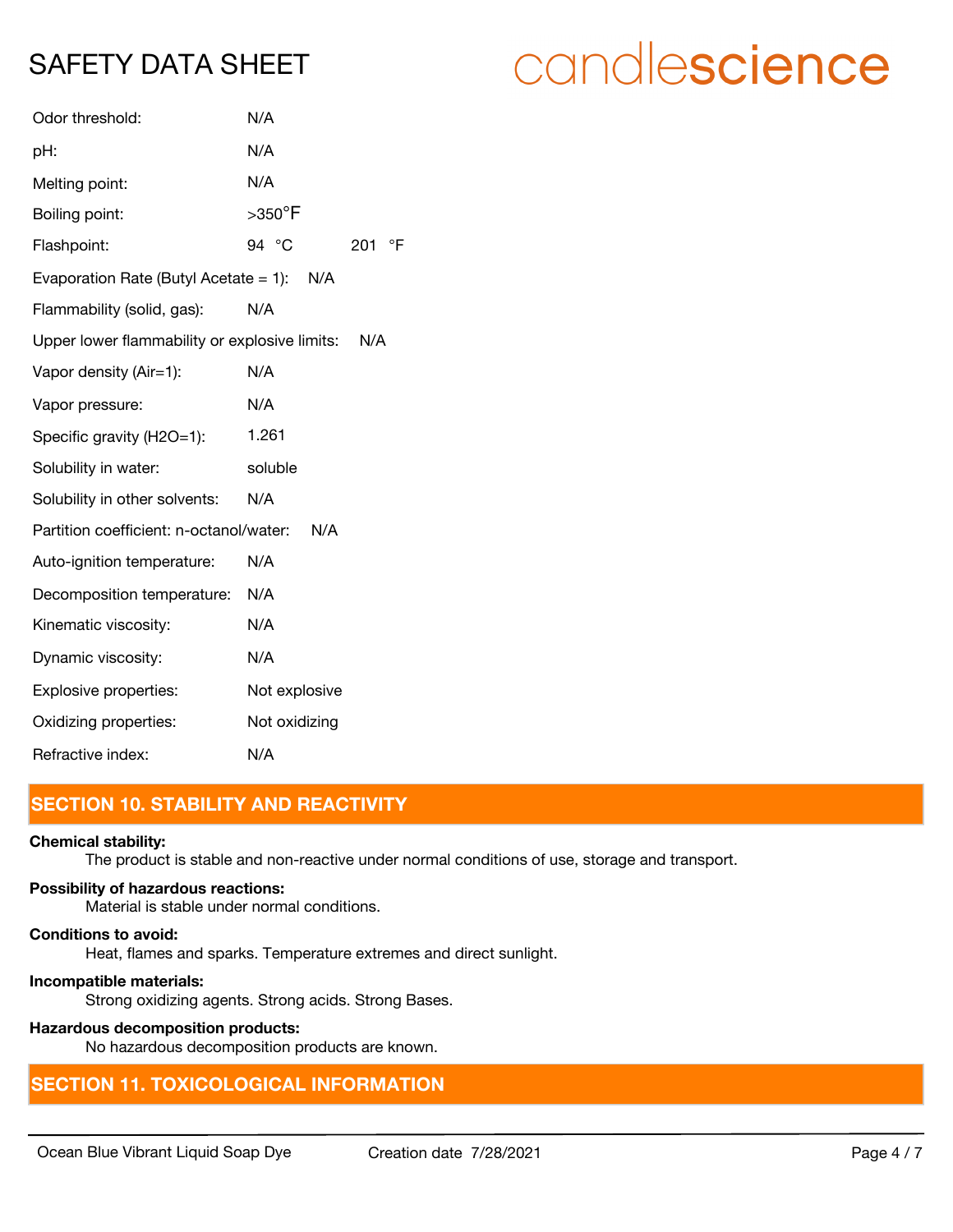| Odor threshold:                                      | N/A                          |
|------------------------------------------------------|------------------------------|
| pH:                                                  | N/A                          |
| Melting point:                                       | N/A                          |
| Boiling point:                                       | $>$ 350 $\mathrm{^{\circ}F}$ |
| Flashpoint:                                          | 94 °C<br>°F<br>201           |
| Evaporation Rate (Butyl Acetate = 1): $N/A$          |                              |
| Flammability (solid, gas):                           | N/A                          |
| Upper lower flammability or explosive limits:<br>N/A |                              |
| Vapor density (Air=1):                               | N/A                          |
| Vapor pressure:                                      | N/A                          |
| Specific gravity (H2O=1):                            | 1.261                        |
| Solubility in water:                                 | soluble                      |
| Solubility in other solvents:                        | N/A                          |
| Partition coefficient: n-octanol/water:<br>N/A       |                              |
| Auto-ignition temperature:                           | N/A                          |
| Decomposition temperature:                           | N/A                          |
| Kinematic viscosity:                                 | N/A                          |
| Dynamic viscosity:                                   | N/A                          |
| Explosive properties:                                | Not explosive                |
| Oxidizing properties:                                | Not oxidizing                |
| Refractive index:                                    | N/A                          |

#### **SECTION 10. STABILITY AND REACTIVITY**

#### **Chemical stability:**

The product is stable and non-reactive under normal conditions of use, storage and transport.

#### **Possibility of hazardous reactions:**

Material is stable under normal conditions.

#### **Conditions to avoid:**

Heat, flames and sparks. Temperature extremes and direct sunlight.

#### **Incompatible materials:**

Strong oxidizing agents. Strong acids. Strong Bases.

#### **Hazardous decomposition products:**

No hazardous decomposition products are known.

### **SECTION 11. TOXICOLOGICAL INFORMATION**

## candlescience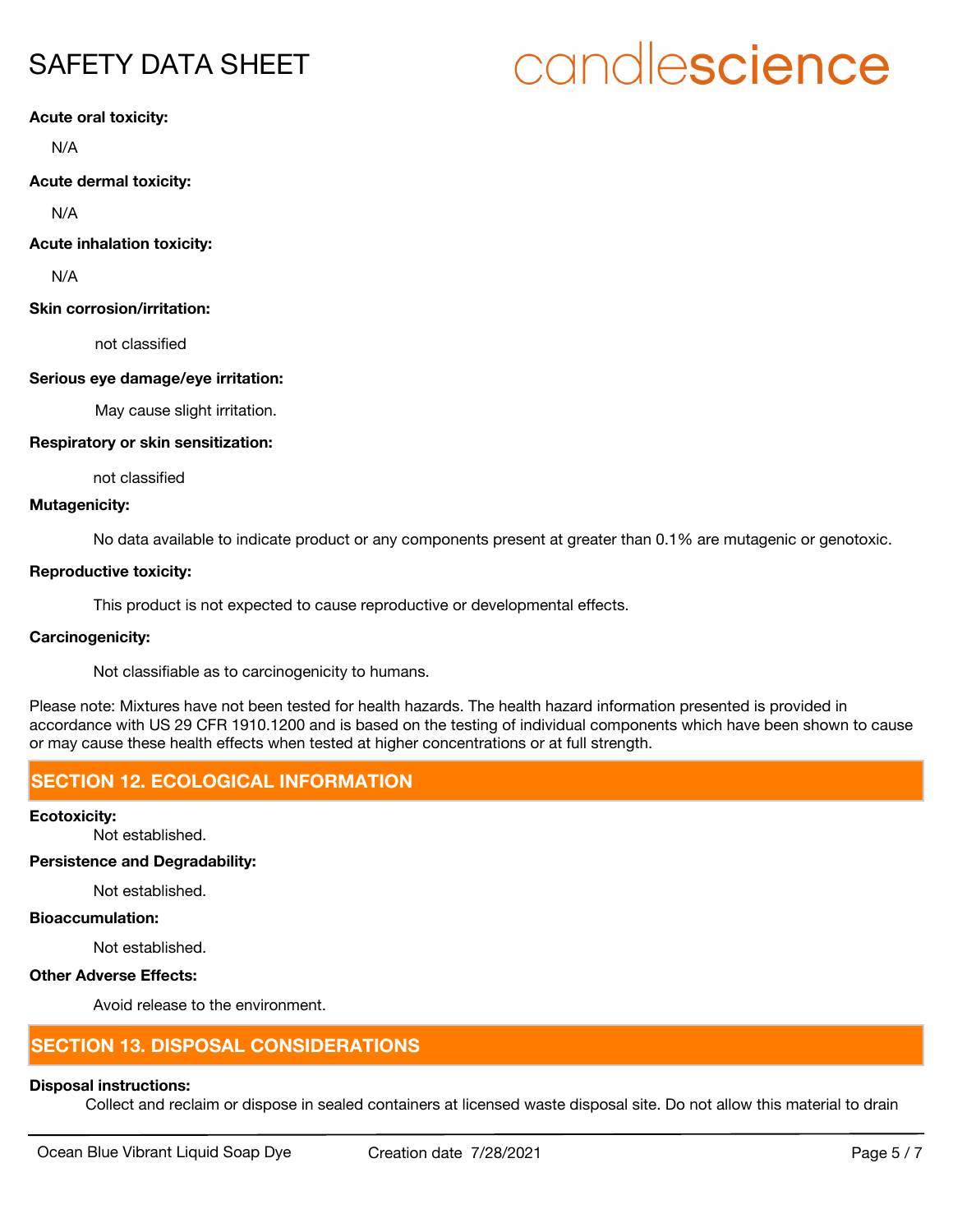# candlescience

**Acute oral toxicity:**

N/A

**Acute dermal toxicity:**

N/A

**Acute inhalation toxicity:**

N/A

#### **Skin corrosion/irritation:**

not classified

#### **Serious eye damage/eye irritation:**

May cause slight irritation.

#### **Respiratory or skin sensitization:**

not classified

#### **Mutagenicity:**

No data available to indicate product or any components present at greater than 0.1% are mutagenic or genotoxic.

#### **Reproductive toxicity:**

This product is not expected to cause reproductive or developmental effects.

#### **Carcinogenicity:**

Not classifiable as to carcinogenicity to humans.

Please note: Mixtures have not been tested for health hazards. The health hazard information presented is provided in accordance with US 29 CFR 1910.1200 and is based on the testing of individual components which have been shown to cause or may cause these health effects when tested at higher concentrations or at full strength.

#### **SECTION 12. ECOLOGICAL INFORMATION**

**Ecotoxicity:**

Not established.

#### **Persistence and Degradability:**

Not established.

#### **Bioaccumulation:**

Not established.

#### **Other Adverse Effects:**

Avoid release to the environment.

#### **SECTION 13. DISPOSAL CONSIDERATIONS**

#### **Disposal instructions:**

Collect and reclaim or dispose in sealed containers at licensed waste disposal site. Do not allow this material to drain